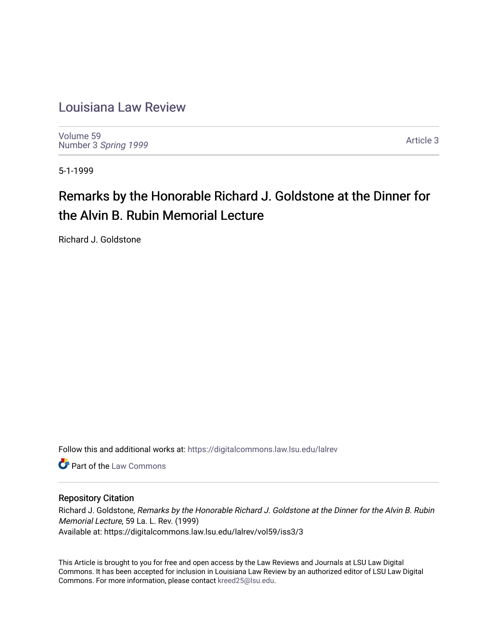## [Louisiana Law Review](https://digitalcommons.law.lsu.edu/lalrev)

[Volume 59](https://digitalcommons.law.lsu.edu/lalrev/vol59) Number 3 [Spring 1999](https://digitalcommons.law.lsu.edu/lalrev/vol59/iss3) 

[Article 3](https://digitalcommons.law.lsu.edu/lalrev/vol59/iss3/3) 

5-1-1999

# Remarks by the Honorable Richard J. Goldstone at the Dinner for the Alvin B. Rubin Memorial Lecture

Richard J. Goldstone

Follow this and additional works at: [https://digitalcommons.law.lsu.edu/lalrev](https://digitalcommons.law.lsu.edu/lalrev?utm_source=digitalcommons.law.lsu.edu%2Flalrev%2Fvol59%2Fiss3%2F3&utm_medium=PDF&utm_campaign=PDFCoverPages)

**C** Part of the [Law Commons](https://network.bepress.com/hgg/discipline/578?utm_source=digitalcommons.law.lsu.edu%2Flalrev%2Fvol59%2Fiss3%2F3&utm_medium=PDF&utm_campaign=PDFCoverPages)

#### Repository Citation

Richard J. Goldstone, Remarks by the Honorable Richard J. Goldstone at the Dinner for the Alvin B. Rubin Memorial Lecture, 59 La. L. Rev. (1999) Available at: https://digitalcommons.law.lsu.edu/lalrev/vol59/iss3/3

This Article is brought to you for free and open access by the Law Reviews and Journals at LSU Law Digital Commons. It has been accepted for inclusion in Louisiana Law Review by an authorized editor of LSU Law Digital Commons. For more information, please contact [kreed25@lsu.edu](mailto:kreed25@lsu.edu).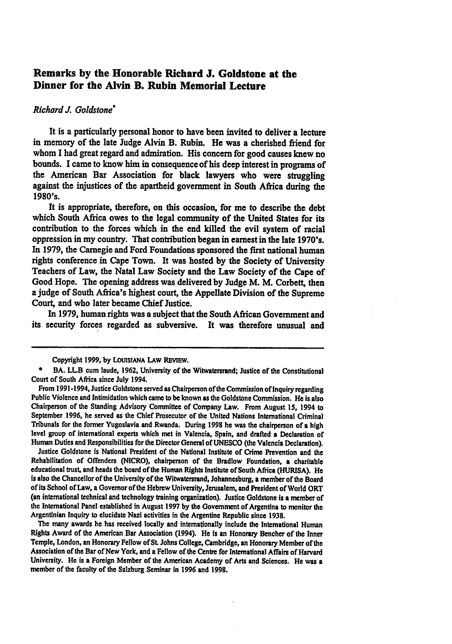### **Remarks by the Honorable Richard J. Goldstone at the Dinner for the Alvin B. Rubin Memorial Lecture**

#### *RichardJ. Goldstone'*

It is a particularly personal honor to have been invited to deliver a lecture in memory of the late Judge Alvin B. Rubin. He was a cherished friend for whom **I**had great regard and admiration. His concern for good causes knew no bounds. **I** came to know him in consequence of his deep interest in programs of the American Bar Association for black lawyers who were struggling against the injustices of the apartheid government in South Africa during the **1980's.** 

It is appropriate, therefore, on this occasion, for me to describe the debt which South Africa owes to the legal community of the United States for its contribution to the forces which in the end killed the evil system of racial oppression in my country. That contribution began in earnest in the late 1970's. In **1979,** the Carnegie and Ford Foundations sponsored the first national human rights conference in Cape Town. It was hosted **by** the Society of University Teachers of Law, the Natal Law Society and the Law Society of the Cape of Good Hope. The opening address was delivered **by** Judge M. M. Corbett, then a judge of South Africa's highest court, the Appellate Division of the Supreme Court, and who later became Chief Justice.

In **1979,** human rights was a subject that the South African Government and its security forces regarded as subversive. It was therefore unusual and

Copyright **1999, by LOUISIANA LAW REVIEW.** 

Justice Goldstone is National President of the National Institute of Crime Prevention and the Rehabilitation of Offenders (NICRO), chairperson of the Bradlow Foundation, a charitable educational trust, and heads the board ofthe Human Rights Institute of South Africa **(HURISA).** He is also the Chancellor of the University of the Witwatersrand, Johannesburg, a member of the Board ofits School of Law, aGovernor ofthe Hebrew University, Jerusalem, and President of World ORT (an international technical and technology training organization). Justice Goldstone is amember of the International Panel established in August **1997 by** the Government of Argentina to monitor the Argentinian Inquiry to elucidate Nazi activities in the Argentine Republic since **1938.** 

**The** many awards he has received locally and internationally include the International Human Rights Award of the American Bar Association (1994). He is an Honorary Bencher of the Inner Temple, London, an Honorary Fellow of**St.** Johns College, Cambridge, an Honorary Member ofthe Association of the Bar of New York, and a Fellow of the Centre for International Affairs of Harvard University. He is a Foreign Member of the American Academy of Arts and Sciences. He was a member of the faculty of the Salzburg Seminar in **1996** and **1998.** 

**<sup>\*</sup>** BA. LLB cum laude, **1962,** University of the Witwatersrand; Justice of the Constitutional Court of South Africa since July 1994.

From 1991-1994, Justice Goldstone served as Chairperson of the Commission of Inquiry regarding Public Violence and Intimidation which came to **be** known as the Goldstone Commission. He isalso Chairperson of the Standing Advisory Committee of Company Law. From August **15,** 1994 to September **1996,** he served as the Chief Prosecutor of the United Nations International Criminal Tribunals for the former Yugoslavia and Rwanda. During **1998** he was the chairperson of ahigh level group of international experts which met in Valencia, Spain, and drafted a Declaration of Human Duties and Responsibilities for the Director General of**UNESCO** (the Valencia Declaration).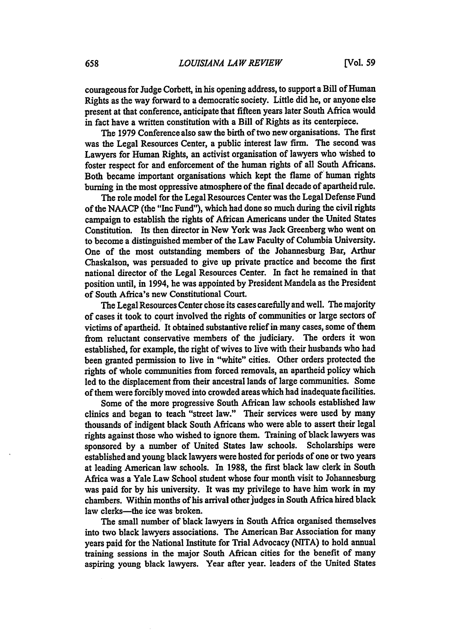courageous for Judge Corbett, in his opening address, to support a Bill of Human Rights as the way forward to a democratic society. Little did he, or anyone else present at that conference, anticipate that fifteen years later South Africa would in fact have a written constitution with a Bill of Rights as its centerpiece.

The **1979** Conference also saw the birth of two new organisations. The first was the Legal Resources Center, a public interest law firm. The second was Lawyers for Human Rights, an activist organisation of lawyers who wished to foster respect for and enforcement of the human rights of all South Africans. Both became important organisations which kept the flame of human rights burning in the most oppressive atmosphere of the final decade of apartheid rule.

The role model for the Legal Resources Center was the Legal Defense Fund of the **NAACP** (the "Inc Fund"), which had done so much during the civil rights campaign to establish the rights of African Americans under the United States Constitution. Its then director in New York was Jack Greenberg who went on to become a distinguished member of the Law Faculty of Columbia University. One of the most outstanding members of the Johannesburg Bar, Arthur Chaskalson, was persuaded to give up private practice and become the first national director of the Legal Resources Center. In fact he remained in that position until, in 1994, he was appointed **by** President Mandela as the President of South Africa's new Constitutional Court.

The Legal Resources Center chose its cases carefully and well. The majority of cases it took to court involved the rights of communities or large sectors of victims of apartheid. It obtained substantive relief in many cases, some of them from reluctant conservative members of the judiciary. The orders it won established, for example, the right of wives to live with their husbands who had been granted permission to live in "white" cities. Other orders protected the rights of whole communities from forced removals, an apartheid policy which led to the displacement from their ancestral lands of large communities. Some of them were forcibly moved into crowded areas which had inadequate facilities.

Some of the more progressive South African law schools established law clinics and began to teach "street law." Their services were used **by** many thousands of indigent black South Africans who were able to assert their legal rights against those who wished to ignore them. Training of black lawyers was sponsored **by** a number of United States law schools. Scholarships were established and young black lawyers were hosted for periods of one or two years at leading American law schools. In **1988,** the first black law clerk in South Africa was a Yale Law School student whose four month visit to Johannesburg was paid for **by** his university. It was my privilege to have him work in my chambers. Within months of his arrival other judges in South Africa hired black law clerks-the ice was broken.

The small number of black lawyers in South Africa organised themselves into two black lawyers associations. The American Bar Association for many years paid for the National Institute for Trial Advocacy (NITA) to hold annual training sessions in the major South African cities for the benefit of many aspiring young black lawyers. Year after year. leaders of the United States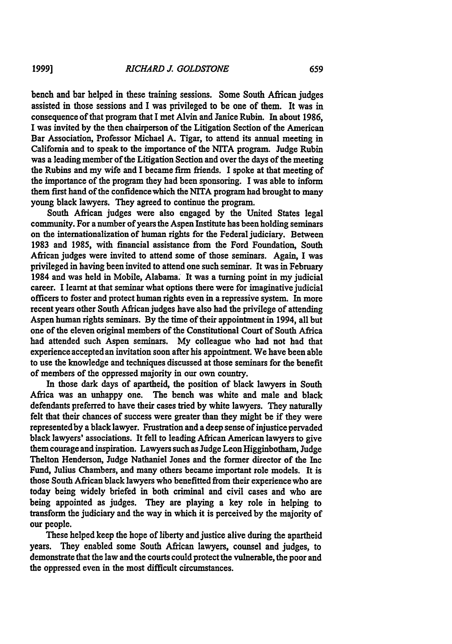bench and bar helped in these training sessions. Some South African judges assisted in those sessions and I was privileged to be one of them. It was in consequence of that program that I met Alvin and Janice Rubin. In about 1986, I was invited by the then chairperson of the Litigation Section of the American Bar Association, Professor Michael A. Tigar, to attend its annual meeting in California and to speak to the importance of the NITA program. Judge Rubin was a leading member of the Litigation Section and over the days of the meeting the Rubins and my wife and I became firm friends. I spoke at that meeting of the importance of the program they had been sponsoring. I was able to inform them first hand of the confidence which the NITA program had brought to many young black lawyers. They agreed to continue the program.

South African judges were also engaged by the United States legal community. For a number of years the Aspen Institute has been holding seminars on the internationalization of human rights for the Federal judiciary. Between 1983 and 1985, with financial assistance from the Ford Foundation, South African judges were invited to attend some of those seminars. Again, I was privileged in having been invited to attend one such seminar. It was in February 1984 and was held in Mobile, Alabama. It was a turning point in my judicial career. I learnt at that seminar what options there were for imaginative judicial officers to foster and protect human rights even in a repressive system. In more recent years other South African judges have also had the privilege of attending Aspen human rights seminars. By the time of their appointment in 1994, all but one of the eleven original members of the Constitutional Court of South Africa had attended such Aspen seminars. My colleague who had not had that experience accepted an invitation soon after his appointment. We have been able to use the knowledge and techniques discussed at those seminars for the benefit of members of the oppressed majority in our own country.

In those dark days of apartheid, the position of black lawyers in South Africa was an unhappy one. The bench was white and male and black defendants preferred to have their cases tried by white lawyers. They naturally felt that their chances of success were greater than they might be if they were representedby a black lawyer. Frustration and a deep sense of injustice pervaded black lawyers' associations. It fell to leading African American lawyers to give them courage and inspiration. Lawyers such as Judge Leon Higginbotham, Judge Thelton Henderson, Judge Nathaniel Jones and the former director of the Inc Fund, Julius Chambers, and many others became important role models. It is those South African black lawyers who benefitted from their experience who are today being widely briefed in both criminal and civil cases and who are being appointed as judges. They are playing a key role in helping to transform the judiciary and the way in which it is perceived **by** the majority of our people.

These helped keep the hope of liberty and justice alive during the apartheid years. They enabled some South African lawyers, counsel and judges, to demonstrate that the law and the courts could protect the vulnerable, the poor and the oppressed even in the most difficult circumstances.